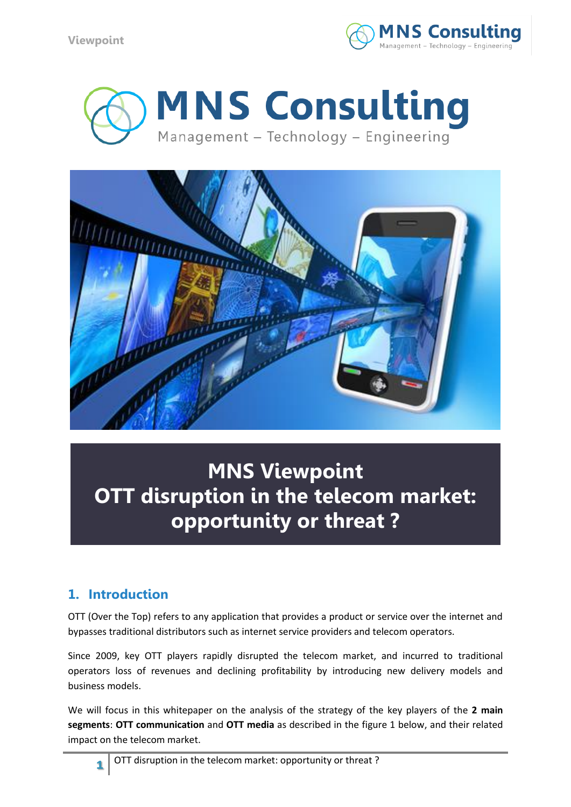





# **MNS Viewpoint OTT disruption in the telecom market: opportunity or threat ?**

# **1. Introduction**

OTT (Over the Top) refers to any application that provides a product or service over the internet and bypasses traditional distributors such as internet service providers and telecom operators.

Since 2009, key OTT players rapidly disrupted the telecom market, and incurred to traditional operators loss of revenues and declining profitability by introducing new delivery models and business models.

We will focus in this whitepaper on the analysis of the strategy of the key players of the **2 main segments**: **OTT communication** and **OTT media** as described in the figure 1 below, and their related impact on the telecom market.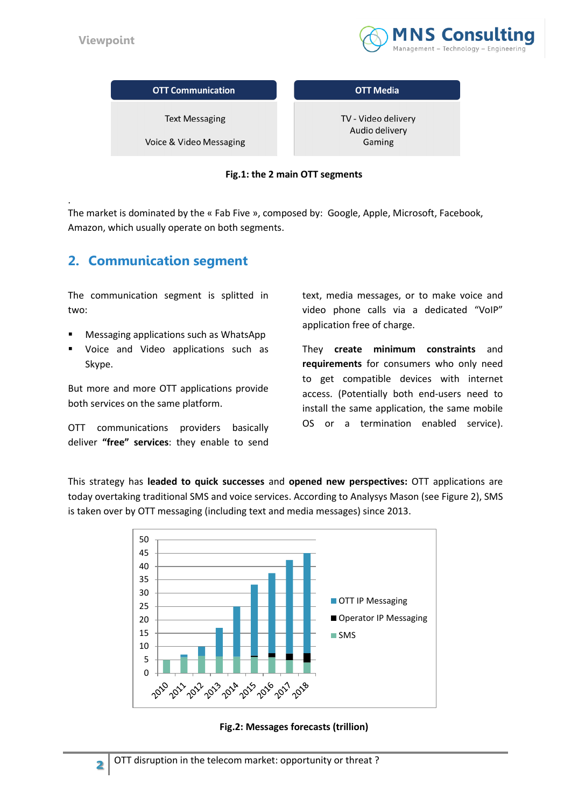

| <b>OTT Communication</b> | <b>OTT Media</b>                      |
|--------------------------|---------------------------------------|
| <b>Text Messaging</b>    | TV - Video delivery<br>Audio delivery |
| Voice & Video Messaging  | Gaming                                |

#### **Fig.1: the 2 main OTT segments**

. The market is dominated by the « Fab Five », composed by: Google, Apple, Microsoft, Facebook, Amazon, which usually operate on both segments.

### **2. Communication segment**

The communication segment is splitted in two:

- Messaging applications such as WhatsApp
- Voice and Video applications such as Skype.

But more and more OTT applications provide both services on the same platform.

OTT communications providers basically deliver **"free" services**: they enable to send text, media messages, or to make voice and video phone calls via a dedicated "VoIP" application free of charge.

They **create minimum constraints** and **requirements** for consumers who only need to get compatible devices with internet access. (Potentially both end-users need to install the same application, the same mobile OS or a termination enabled service).

This strategy has **leaded to quick successes** and **opened new perspectives:** OTT applications are today overtaking traditional SMS and voice services. According to Analysys Mason (see Figure 2), SMS is taken over by OTT messaging (including text and media messages) since 2013.



**Fig.2: Messages forecasts (trillion)**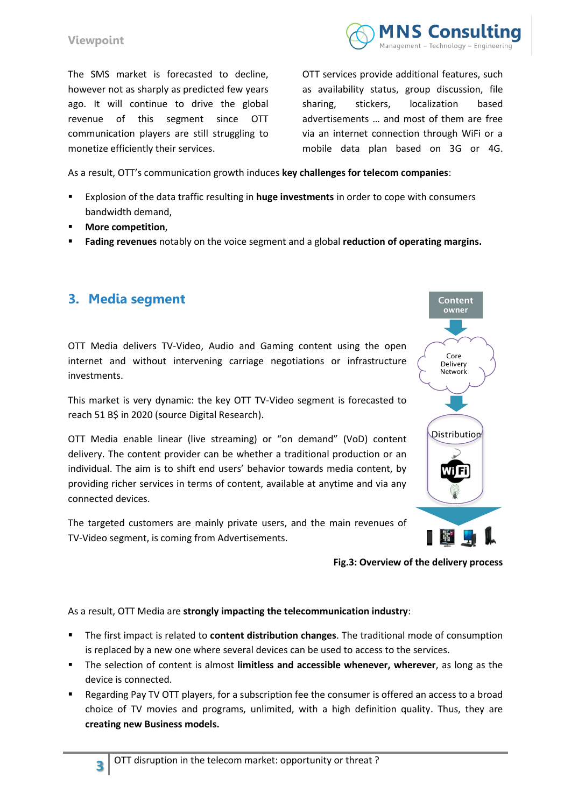

#### **Viewpoint**

The SMS market is forecasted to decline, however not as sharply as predicted few years ago. It will continue to drive the global revenue of this segment since OTT communication players are still struggling to monetize efficiently their services.

OTT services provide additional features, such as availability status, group discussion, file sharing, stickers, localization based advertisements … and most of them are free via an internet connection through WiFi or a mobile data plan based on 3G or 4G.

As a result, OTT's communication growth induces **key challenges for telecom companies**:

- Explosion of the data traffic resulting in **huge investments** in order to cope with consumers bandwidth demand,
- **More competition**,
- **Fading revenues** notably on the voice segment and a global **reduction of operating margins.**

### **3. Media segment**

**3**

OTT Media delivers TV-Video, Audio and Gaming content using the open internet and without intervening carriage negotiations or infrastructure investments.

This market is very dynamic: the key OTT TV-Video segment is forecasted to reach 51 B\$ in 2020 (source Digital Research).

OTT Media enable linear (live streaming) or "on demand" (VoD) content delivery. The content provider can be whether a traditional production or an individual. The aim is to shift end users' behavior towards media content, by providing richer services in terms of content, available at anytime and via any connected devices.

The targeted customers are mainly private users, and the main revenues of TV-Video segment, is coming from Advertisements.



**Fig.3: Overview of the delivery process**

As a result, OTT Media are **strongly impacting the telecommunication industry**:

- The first impact is related to **content distribution changes**. The traditional mode of consumption is replaced by a new one where several devices can be used to access to the services.
- The selection of content is almost **limitless and accessible whenever, wherever**, as long as the device is connected.
- Regarding Pay TV OTT players, for a subscription fee the consumer is offered an access to a broad choice of TV movies and programs, unlimited, with a high definition quality. Thus, they are **creating new Business models.**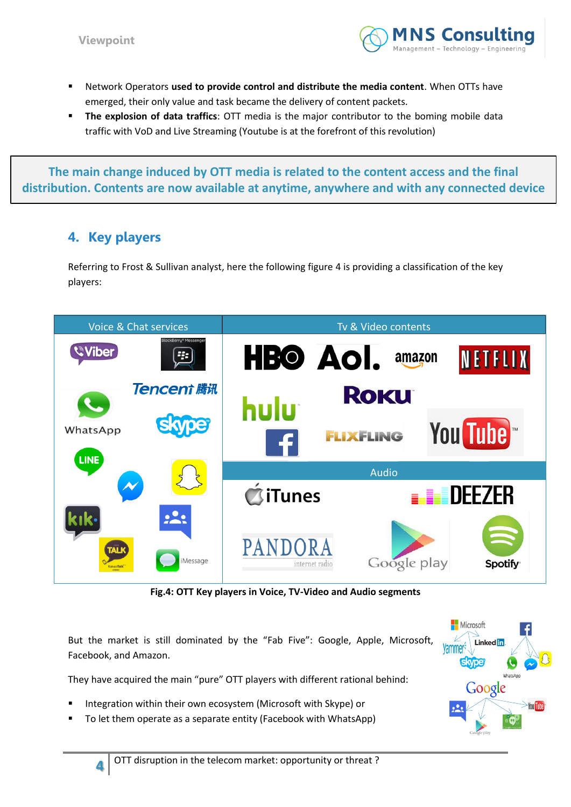

- Network Operators **used to provide control and distribute the media content**. When OTTs have emerged, their only value and task became the delivery of content packets.
- **The explosion of data traffics**: OTT media is the major contributor to the boming mobile data traffic with VoD and Live Streaming (Youtube is at the forefront of this revolution)

**The main change induced by OTT media is related to the content access and the final distribution. Contents are now available at anytime, anywhere and with any connected device**

## **4. Key players**

**4**

Referring to Frost & Sullivan analyst, here the following figure 4 is providing a classification of the key players:



**Fig.4: OTT Key players in Voice, TV-Video and Audio segments**

But the market is still dominated by the "Fab Five": Google, Apple, Microsoft, Facebook, and Amazon.

They have acquired the main "pure" OTT players with different rational behind:

- Integration within their own ecosystem (Microsoft with Skype) or
- To let them operate as a separate entity (Facebook with WhatsApp)

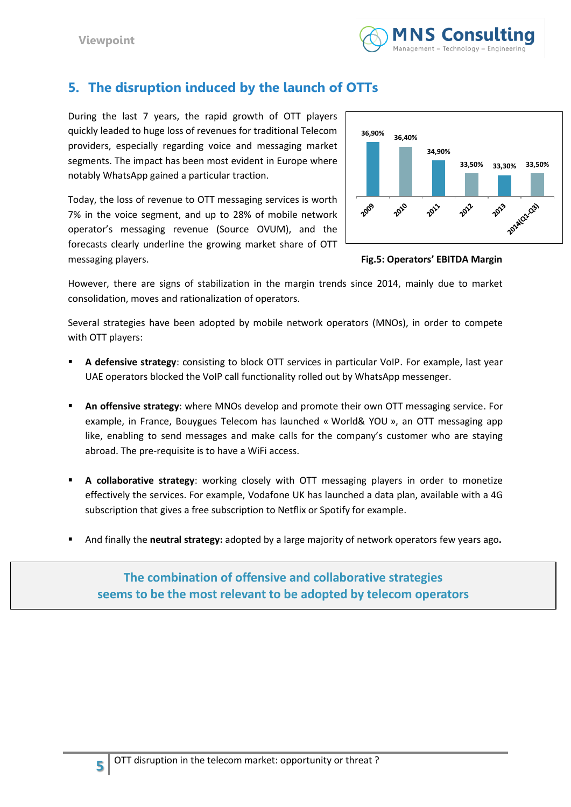

# **5. The disruption induced by the launch of OTTs**

During the last 7 years, the rapid growth of OTT players quickly leaded to huge loss of revenues for traditional Telecom providers, especially regarding voice and messaging market segments. The impact has been most evident in Europe where notably WhatsApp gained a particular traction.

Today, the loss of revenue to OTT messaging services is worth 7% in the voice segment, and up to 28% of mobile network operator's messaging revenue (Source OVUM), and the forecasts clearly underline the growing market share of OTT messaging players. **Fig.5: Operators' EBITDA Margin**



However, there are signs of stabilization in the margin trends since 2014, mainly due to market consolidation, moves and rationalization of operators.

Several strategies have been adopted by mobile network operators (MNOs), in order to compete with OTT players:

- **A defensive strategy**: consisting to block OTT services in particular VoIP. For example, last year UAE operators blocked the VoIP call functionality rolled out by WhatsApp messenger.
- **An offensive strategy**: where MNOs develop and promote their own OTT messaging service. For example, in France, Bouygues Telecom has launched « World& YOU », an OTT messaging app like, enabling to send messages and make calls for the company's customer who are staying abroad. The pre-requisite is to have a WiFi access.
- **A collaborative strategy**: working closely with OTT messaging players in order to monetize effectively the services. For example, Vodafone UK has launched a data plan, available with a 4G subscription that gives a free subscription to Netflix or Spotify for example.
- And finally the **neutral strategy:** adopted by a large majority of network operators few years ago**.**

**The combination of offensive and collaborative strategies seems to be the most relevant to be adopted by telecom operators**

**5**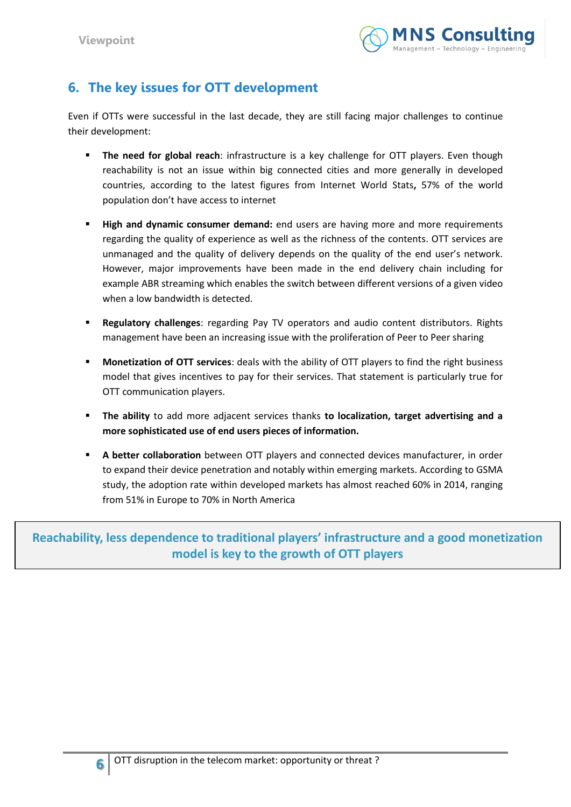

# **6. The key issues for OTT development**

Even if OTTs were successful in the last decade, they are still facing major challenges to continue their development:

- **The need for global reach**: infrastructure is a key challenge for OTT players. Even though reachability is not an issue within big connected cities and more generally in developed countries, according to the latest figures from Internet World Stats**,** 57% of the world population don't have access to internet
- **High and dynamic consumer demand:** end users are having more and more requirements regarding the quality of experience as well as the richness of the contents. OTT services are unmanaged and the quality of delivery depends on the quality of the end user's network. However, major improvements have been made in the end delivery chain including for example ABR streaming which enables the switch between different versions of a given video when a low bandwidth is detected.
- **Regulatory challenges**: regarding Pay TV operators and audio content distributors. Rights management have been an increasing issue with the proliferation of Peer to Peer sharing
- **Monetization of OTT services**: deals with the ability of OTT players to find the right business model that gives incentives to pay for their services. That statement is particularly true for OTT communication players.
- **The ability** to add more adjacent services thanks **to localization, target advertising and a more sophisticated use of end users pieces of information.**
- **A better collaboration** between OTT players and connected devices manufacturer, in order to expand their device penetration and notably within emerging markets. According to GSMA study, the adoption rate within developed markets has almost reached 60% in 2014, ranging from 51% in Europe to 70% in North America

**Reachability, less dependence to traditional players' infrastructure and a good monetization model is key to the growth of OTT players**

**6**